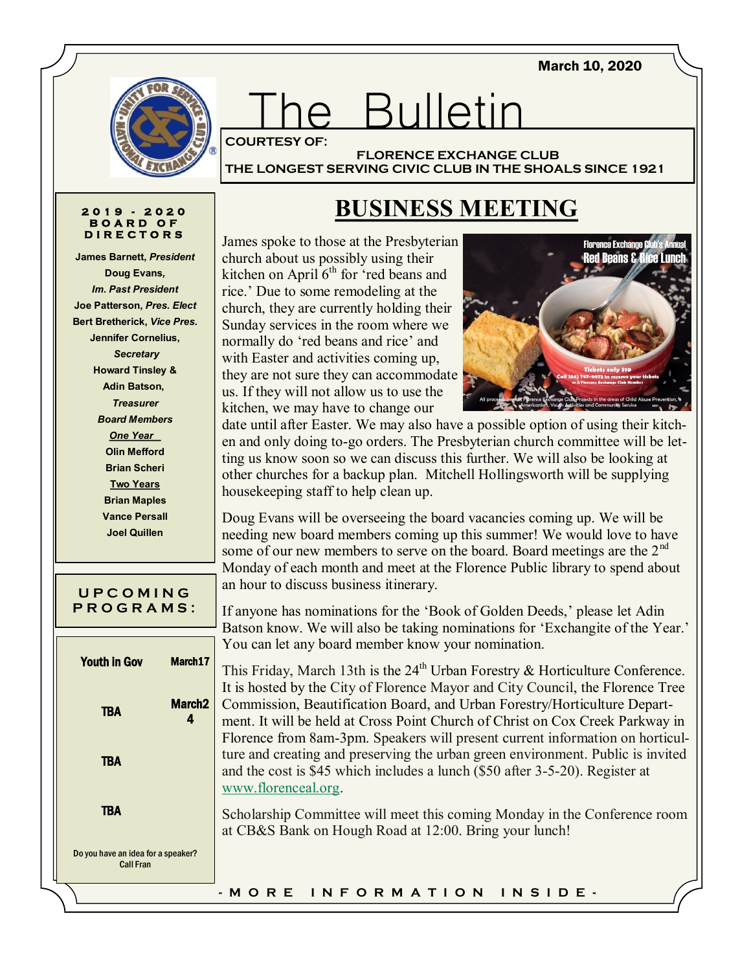March 10, 2020



3ulletin

**COURTESY OF:**

**FLORENCE EXCHANGE CLUB THE LONGEST SERVING CIVIC CLUB IN THE SHOALS SINCE 1921**

### **2 0 1 9 - 2 0 2 0 B O A R D O F D I R E C T O R S**

**James Barnett,** *President* **Doug Evans***, Im. Past President* **Joe Patterson,** *Pres. Elect* **Bert Bretherick,** *Vice Pres.* **Jennifer Cornelius,** *Secretary* **Howard Tinsley & Adin Batson,** *Treasurer Board Members* **One Year Olin Mefford Brian Scheri Two Years Brian Maples Vance Persall Joel Quillen**

## **U P C O M I N G P R O G R A M S :**

| March17                            |
|------------------------------------|
| March <sub>2</sub><br>4            |
|                                    |
|                                    |
| Do you have an idea for a speaker? |
|                                    |

# **BUSINESS MEETING**

James spoke to those at the Presbyterian church about us possibly using their kitchen on April 6<sup>th</sup> for 'red beans and rice.' Due to some remodeling at the church, they are currently holding their Sunday services in the room where we normally do 'red beans and rice' and with Easter and activities coming up, they are not sure they can accommodate us. If they will not allow us to use the kitchen, we may have to change our



date until after Easter. We may also have a possible option of using their kitchen and only doing to-go orders. The Presbyterian church committee will be letting us know soon so we can discuss this further. We will also be looking at other churches for a backup plan. Mitchell Hollingsworth will be supplying housekeeping staff to help clean up.

Doug Evans will be overseeing the board vacancies coming up. We will be needing new board members coming up this summer! We would love to have some of our new members to serve on the board. Board meetings are the  $2<sup>nd</sup>$ Monday of each month and meet at the Florence Public library to spend about an hour to discuss business itinerary.

If anyone has nominations for the 'Book of Golden Deeds,' please let Adin Batson know. We will also be taking nominations for 'Exchangite of the Year.' You can let any board member know your nomination.

This Friday, March 13th is the  $24<sup>th</sup>$  Urban Forestry & Horticulture Conference. It is hosted by the City of Florence Mayor and City Council, the Florence Tree Commission, Beautification Board, and Urban Forestry/Horticulture Department. It will be held at Cross Point Church of Christ on Cox Creek Parkway in Florence from 8am-3pm. Speakers will present current information on horticulture and creating and preserving the urban green environment. Public is invited and the cost is \$45 which includes a lunch (\$50 after 3-5-20). Register at [www.florenceal.org.](http://www.florenceal.org/)

Scholarship Committee will meet this coming Monday in the Conference room at CB&S Bank on Hough Road at 12:00. Bring your lunch!

**- M O R E I N F O R M A T I O N I N S I D E -**